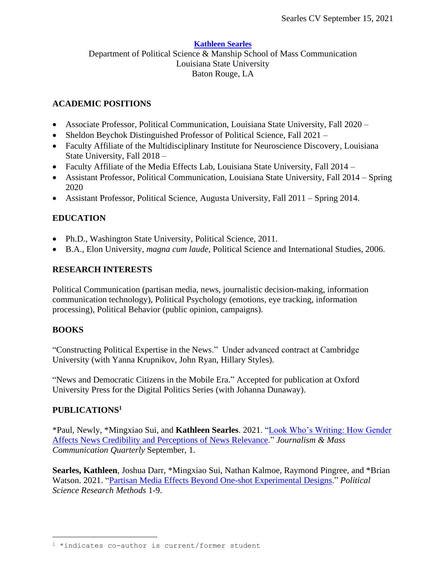#### **[Kathleen Searles](http://kathleensearles.com/)**

Department of Political Science & Manship School of Mass Communication Louisiana State University Baton Rouge, LA

### **ACADEMIC POSITIONS**

- Associate Professor, Political Communication, Louisiana State University, Fall 2020 –
- Sheldon Beychok Distinguished Professor of Political Science, Fall 2021 –
- Faculty Affiliate of the Multidisciplinary Institute for Neuroscience Discovery, Louisiana State University, Fall 2018 –
- Faculty Affiliate of the Media Effects Lab, Louisiana State University, Fall 2014 –
- Assistant Professor, Political Communication, Louisiana State University, Fall 2014 Spring 2020
- Assistant Professor, Political Science, Augusta University, Fall 2011 Spring 2014.

# **EDUCATION**

- Ph.D., Washington State University, Political Science, 2011.
- B.A., Elon University, *magna cum laude*, Political Science and International Studies, 2006.

### **RESEARCH INTERESTS**

Political Communication (partisan media, news, journalistic decision-making, information communication technology), Political Psychology (emotions, eye tracking, information processing), Political Behavior (public opinion, campaigns).

### **BOOKS**

"Constructing Political Expertise in the News." Under advanced contract at Cambridge University (with Yanna Krupnikov, John Ryan, Hillary Styles).

"News and Democratic Citizens in the Mobile Era." Accepted for publication at Oxford University Press for the Digital Politics Series (with Johanna Dunaway).

### **PUBLICATIONS<sup>1</sup>**

\*Paul, Newly, \*Mingxiao Sui, and **Kathleen Searles**. 2021. ["Look Who's Writing: How Gender](https://journals.sagepub.com/eprint/9WNFYH63WFRZ9XWCRZBH/full)  [Affects News Credibility and Perceptions of News Relevance.](https://journals.sagepub.com/eprint/9WNFYH63WFRZ9XWCRZBH/full)" *Journalism & Mass Communication Quarterly* September, 1.

**Searles, Kathleen**, Joshua Darr, \*Mingxiao Sui, Nathan Kalmoe, Raymond Pingree, and \*Brian Watson. 2021. ["Partisan Media Effects Beyond One-shot Experimental Designs.](https://www.cambridge.org/core/journals/political-science-research-and-methods/article/abs/partisan-media-effects-beyond-oneshot-experimental-designs/7D6000A7D5FA1B556DC4AA7C48350380)" *Political Science Research Methods* 1-9.

<sup>1</sup> \*indicates co-author is current/former student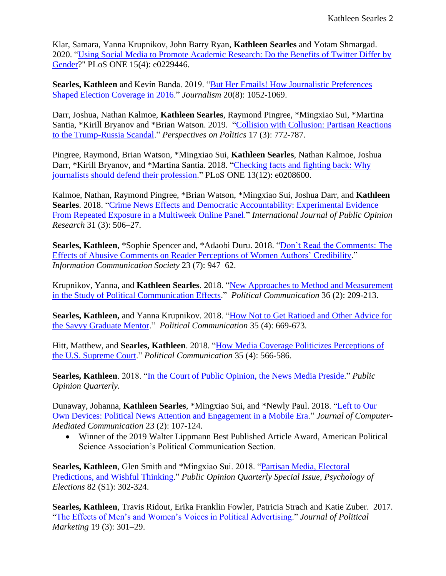Klar, Samara, Yanna Krupnikov, John Barry Ryan, **Kathleen Searles** and Yotam Shmargad. 2020. ["Using Social Media to Promote Academic Research: Do the Benefits of Twitter Differ by](https://journals.plos.org/plosone/article?id=10.1371/journal.pone.0229446)  [Gender?](https://journals.plos.org/plosone/article?id=10.1371/journal.pone.0229446)" PLoS ONE 15(4): e0229446.

**Searles, Kathleen** and Kevin Banda. 2019. ["But Her Emails! How Journalistic Preferences](https://journals.sagepub.com/doi/abs/10.1177/1464884919845459?journalCode=joua)  [Shaped Election Coverage in 2016.](https://journals.sagepub.com/doi/abs/10.1177/1464884919845459?journalCode=joua)" *Journalism* 20(8): 1052-1069.

Darr, Joshua, Nathan Kalmoe, **Kathleen Searles**, Raymond Pingree, \*Mingxiao Sui, \*Martina Santia, \*Kirill Bryanov and \*Brian Watson. 2019. ["Collision with Collusion: Partisan Reactions](https://www.cambridge.org/core/journals/perspectives-on-politics/article/collision-with-collusion-partisan-reaction-to-the-trumprussia-scandal/5041A52BC944B8E21D8C207B3FC8B046)  [to the Trump-Russia Scandal.](https://www.cambridge.org/core/journals/perspectives-on-politics/article/collision-with-collusion-partisan-reaction-to-the-trumprussia-scandal/5041A52BC944B8E21D8C207B3FC8B046)" *Perspectives on Politics* 17 (3): 772-787.

Pingree, Raymond, Brian Watson, \*Mingxiao Sui, **Kathleen Searles**, Nathan Kalmoe, Joshua Darr, \*Kirill Bryanov, and \*Martina Santia. 2018. ["Checking facts and fighting back:](https://journals.plos.org/plosone/article?id=10.1371/journal.pone.0208600) Why [journalists should defend their profession.](https://journals.plos.org/plosone/article?id=10.1371/journal.pone.0208600)" PLoS ONE 13(12): e0208600.

Kalmoe, Nathan, Raymond Pingree, \*Brian Watson, \*Mingxiao Sui, Joshua Darr, and **Kathleen Searles**. 2018. ["Crime News Effects and Democratic Accountability: Experimental Evidence](https://academic.oup.com/ijpor/advance-article-abstract/doi/10.1093/ijpor/edy023/5224528)  [From Repeated Exposure in a Multiweek Online Panel.](https://academic.oup.com/ijpor/advance-article-abstract/doi/10.1093/ijpor/edy023/5224528)" *International Journal of Public Opinion Research* 31 (3): 506–27.

**Searles, Kathleen**, \*Sophie Spencer and, \*Adaobi Duru. 2018. ["Don't Read the Comments: The](https://www.tandfonline.com/doi/full/10.1080/1369118X.2018.1534985?scroll=top&needAccess=true)  [Effects of Abusive Comments on Reader Perceptions of Women Authors'](https://www.tandfonline.com/doi/full/10.1080/1369118X.2018.1534985?scroll=top&needAccess=true) Credibility." *Information Communication Society* 23 (7): 947–62.

Krupnikov, Yanna, and **Kathleen Searles**. 2018. ["New Approaches to Method and Measurement](https://www.tandfonline.com/doi/abs/10.1080/10584609.2018.1526239?journalCode=upcp20)  [in the Study of Political Communication Effects.](https://www.tandfonline.com/doi/abs/10.1080/10584609.2018.1526239?journalCode=upcp20)" *Political Communication* 36 (2): 209-213.

**Searles, Kathleen,** and Yanna Krupnikov. 2018. ["How Not to Get Ratioed and Other Advice for](https://www.tandfonline.com/doi/abs/10.1080/10584609.2018.1477507?journalCode=upcp20)  [the Savvy Graduate Mentor.](https://www.tandfonline.com/doi/abs/10.1080/10584609.2018.1477507?journalCode=upcp20)" *Political Communication* 35 (4): 669-673*.* 

Hitt, Matthew, and **Searles, Kathleen**. 2018. ["How Media Coverage Politicizes Perceptions of](https://www.tandfonline.com/doi/abs/10.1080/10584609.2018.1467517?journalCode=upcp20)  [the U.S. Supreme Court.](https://www.tandfonline.com/doi/abs/10.1080/10584609.2018.1467517?journalCode=upcp20)" *Political Communication* 35 (4): 566-586.

**Searles, Kathleen**. 2018. ["In the Court of Public Opinion, the News Media Preside.](https://academic.oup.com/DocumentLibrary/POQ/Media-Coverage-Polls-Introduction.pdf)" *Public Opinion Quarterly.* 

Dunaway, Johanna, **Kathleen Searles**, \*Mingxiao Sui, and \*Newly Paul. 2018. ["Left to Our](https://academic.oup.com/jcmc/article/23/2/107/4952048?guestAccessKey=9abdfdf2-49a5-4fb3-898c-f4756690b65e)  [Own Devices: Political News Attention and Engagement in a Mobile Era.](https://academic.oup.com/jcmc/article/23/2/107/4952048?guestAccessKey=9abdfdf2-49a5-4fb3-898c-f4756690b65e)" *Journal of Computer-Mediated Communication* 23 (2): 107-124.

• Winner of the 2019 Walter Lippmann Best Published Article Award, American Political Science Association's Political Communication Section.

**Searles, Kathleen**, Glen Smith and \*Mingxiao Sui. 2018. "Partisan Media, Electoral Predictions, and Wishful Thinking." *Public Opinion Quarterly Special Issue, Psychology of Elections* 82 (S1): 302-324.

**Searles, Kathleen**, Travis Ridout, Erika Franklin Fowler, Patricia Strach and Katie Zuber. 2017. ["The Effects of Men's and Women's Voices in Political Advertising.](http://www.tandfonline.com/doi/abs/10.1080/15377857.2017.1330723?journalCode=wplm20)" *Journal of Political Marketing* 19 (3): 301–29.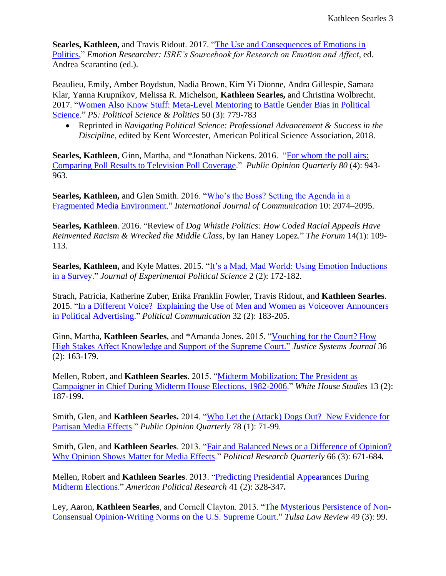**Searles, Kathleen,** and Travis Ridout. 2017. ["The Use and Consequences of Emotions in](http://emotionresearcher.com/the-use-and-consequences-of-emotions-in-politics/)  [Politics,](http://emotionresearcher.com/the-use-and-consequences-of-emotions-in-politics/)" *Emotion Researcher: ISRE's Sourcebook for Research on Emotion and Affect*, ed. Andrea Scarantino (ed.).

Beaulieu, Emily, Amber Boydstun, Nadia Brown, Kim Yi Dionne, Andra Gillespie, Samara Klar, Yanna Krupnikov, Melissa R. Michelson, **Kathleen Searles,** and Christina Wolbrecht. 2017. ["Women Also Know Stuff: Meta-Level Mentoring to Battle Gender Bias in Political](https://www.cambridge.org/core/journals/ps-political-science-and-politics/article/women-also-know-stuff-metalevel-mentoring-to-battle-gender-bias-in-political-science/1B33DE65FFFE10CD2734FF874596BB52#.WT9RFi3EhiY.twitter)  [Science.](https://www.cambridge.org/core/journals/ps-political-science-and-politics/article/women-also-know-stuff-metalevel-mentoring-to-battle-gender-bias-in-political-science/1B33DE65FFFE10CD2734FF874596BB52#.WT9RFi3EhiY.twitter)" *PS: Political Science & Politics* 50 (3): 779-783

• Reprinted in *Navigating Political Science: Professional Advancement & Success in the Discipline,* edited by Kent Worcester, American Political Science Association, 2018.

**Searles, Kathleen**, Ginn, Martha, and \*Jonathan Nickens. 2016. ["For whom the poll airs:](http://poq.oxfordjournals.org/content/early/2016/07/28/poq.nfw031.full?keytype=ref&ijkey=zBf9a9voh2UUz1Y)  [Comparing Poll Results to Television Poll Coverage.](http://poq.oxfordjournals.org/content/early/2016/07/28/poq.nfw031.full?keytype=ref&ijkey=zBf9a9voh2UUz1Y)" *Public Opinion Quarterly 80* (4): 943- 963.

**Searles, Kathleen,** and Glen Smith. 2016. ["Who's the Boss? Setting the Agenda in a](http://ijoc.org/index.php/ijoc/article/view/4839/1638)  [Fragmented Media Environment.](http://ijoc.org/index.php/ijoc/article/view/4839/1638)" *International Journal of Communication* 10: 2074–2095.

**Searles, Kathleen**. 2016. "Review of *Dog Whistle Politics: How Coded Racial Appeals Have Reinvented Racism & Wrecked the Middle Class*, by Ian Haney Lopez." *The Forum* 14(1): 109- 113.

**Searles, Kathleen,** and Kyle Mattes. 2015. ["It's a Mad, Mad World: Using Emotion Inductions](http://journals.cambridge.org/repo_A96mKZw9IKAMDs)  [in a Survey.](http://journals.cambridge.org/repo_A96mKZw9IKAMDs)" *Journal of Experimental Political Science* 2 (2): 172-182.

Strach, Patricia, Katherine Zuber, Erika Franklin Fowler, Travis Ridout, and **Kathleen Searles**. 2015. ["In a Different Voice? Explaining the Use of Men and Women as Voiceover Announcers](http://www.tandfonline.com/doi/full/10.1080/10584609.2014.914614#.VNPZOCw9yN8)  [in Political Advertising.](http://www.tandfonline.com/doi/full/10.1080/10584609.2014.914614#.VNPZOCw9yN8)" *Political Communication* 32 (2): 183-205.

Ginn, Martha, **Kathleen Searles**, and \*Amanda Jones. 2015. ["Vouching for the Court? How](http://www.tandfonline.com/doi/abs/10.1080/0098261X.2014.965854?journalCode=ujsj20#preview)  [High Stakes Affect Knowledge and Support of the Supreme Court."](http://www.tandfonline.com/doi/abs/10.1080/0098261X.2014.965854?journalCode=ujsj20#preview) *Justice Systems Journal* 36 (2): 163-179.

Mellen, Robert, and **Kathleen Searles**. 2015. ["Midterm Mobilization: The President as](http://web.a.ebscohost.com/abstract?direct=true&profile=ehost&scope=site&authtype=crawler&jrnl=15354738&AN=110210185&h=Txy82Hlx3DObnSSmpvmLKuXTT6TJDGZL2PSMHQh22AB0B3I2HfHD%2f6Lk49nBxa6rkj6tMNQKRNeYdVeeGbOS5w%3d%3d&crl=c&resultNs=AdminWebAuth&resultLocal=ErrCrlNotAuth&crlhashurl=login.aspx%3fdirect%3dtrue%26profile%3dehost%26scope%3dsite%26authtype%3dcrawler%26jrnl%3d15354738%26AN%3d110210185)  [Campaigner in Chief During Midterm House Elections, 1982-2006.](http://web.a.ebscohost.com/abstract?direct=true&profile=ehost&scope=site&authtype=crawler&jrnl=15354738&AN=110210185&h=Txy82Hlx3DObnSSmpvmLKuXTT6TJDGZL2PSMHQh22AB0B3I2HfHD%2f6Lk49nBxa6rkj6tMNQKRNeYdVeeGbOS5w%3d%3d&crl=c&resultNs=AdminWebAuth&resultLocal=ErrCrlNotAuth&crlhashurl=login.aspx%3fdirect%3dtrue%26profile%3dehost%26scope%3dsite%26authtype%3dcrawler%26jrnl%3d15354738%26AN%3d110210185)" *White House Studies* 13 (2): 187-199**.**

Smith, Glen, and **Kathleen Searles.** 2014. ["Who Let the \(Attack\) Dogs Out? New Evidence for](http://poq.oxfordjournals.org/content/early/2014/02/27/poq.nft082.short?rss=1)  [Partisan Media Effects.](http://poq.oxfordjournals.org/content/early/2014/02/27/poq.nft082.short?rss=1)" *Public Opinion Quarterly* 78 (1): 71-99.

Smith, Glen, and **Kathleen Searles**. 2013. "Fair and Balanced News or a Difference of Opinion? Why Opinion Shows Matter for Media Effects." *Political Research Quarterly* 66 (3): 671-684*.*

Mellen, Robert and **Kathleen Searles**. 2013. ["Predicting Presidential Appearances During](http://apr.sagepub.com/content/41/2/328.short)  [Midterm Elections.](http://apr.sagepub.com/content/41/2/328.short)" *American Political Research* 41 (2): 328-347*.*

Ley, Aaron, **Kathleen Searles**, and Cornell Clayton. 2013. ["The Mysterious Persistence of Non-](http://digitalcommons.law.utulsa.edu/cgi/viewcontent.cgi?article=2868&context=tlr)[Consensual Opinion-Writing Norms on the U.S. Supreme Court.](http://digitalcommons.law.utulsa.edu/cgi/viewcontent.cgi?article=2868&context=tlr)" *Tulsa Law Review* 49 (3): 99.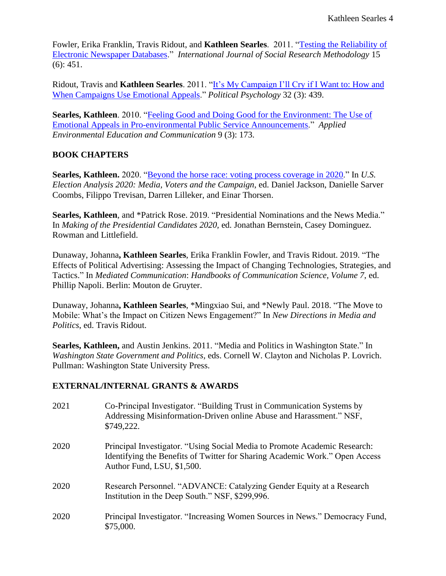Fowler, Erika Franklin, Travis Ridout, and **Kathleen Searles**. 2011. ["Testing the Reliability of](http://www.tandfonline.com/doi/abs/10.1080/13645579.2011.638221)  [Electronic Newspaper Databases.](http://www.tandfonline.com/doi/abs/10.1080/13645579.2011.638221)" *International Journal of Social Research Methodology* 15 (6): 451.

Ridout, Travis and **Kathleen Searles**. 2011. ["It's My Campaign I'll Cry if I Want to: How and](http://onlinelibrary.wiley.com/doi/10.1111/j.1467-9221.2010.00819.x/full)  [When Campaigns Use Emotional Appeals.](http://onlinelibrary.wiley.com/doi/10.1111/j.1467-9221.2010.00819.x/full)" *Political Psychology* 32 (3): 439.

**Searles, Kathleen**. 2010. ["Feeling Good and Doing Good for the Environment: The Use of](http://www.tandfonline.com/doi/abs/10.1080/1533015X.2010.510025)  [Emotional Appeals in Pro-environmental](http://www.tandfonline.com/doi/abs/10.1080/1533015X.2010.510025) Public Service Announcements." *Applied Environmental Education and Communication* 9 (3): 173.

### **BOOK CHAPTERS**

**Searles, Kathleen.** 2020. ["Beyond the horse race: voting process coverage in](https://www.electionanalysis.ws/us/president2020/section-4-news-and-journalism/beyond-the-horse-race-voting-process-coverage-in-2020/) 2020." In *U.S. Election Analysis 2020: Media, Voters and the Campaign*, ed. Daniel Jackson, Danielle Sarver Coombs, Filippo Trevisan, Darren Lilleker, and Einar Thorsen.

**Searles, Kathleen**, and \*Patrick Rose. 2019. "Presidential Nominations and the News Media." In *Making of the Presidential Candidates 2020,* ed. Jonathan Bernstein, Casey Dominguez. Rowman and Littlefield.

Dunaway, Johanna**, Kathleen Searles**, Erika Franklin Fowler, and Travis Ridout. 2019. "The Effects of Political Advertising: Assessing the Impact of Changing Technologies, Strategies, and Tactics." In *Mediated Communication*: *Handbooks of Communication Science, Volume 7*, ed. Phillip Napoli. Berlin: Mouton de Gruyter.

Dunaway, Johanna**, Kathleen Searles**, \*Mingxiao Sui, and \*Newly Paul. 2018. "The Move to Mobile: What's the Impact on Citizen News Engagement?" In *New Directions in Media and Politics*, ed. Travis Ridout.

**Searles, Kathleen,** and Austin Jenkins. 2011. "Media and Politics in Washington State." In *Washington State Government and Politics,* eds. Cornell W. Clayton and Nicholas P. Lovrich. Pullman: Washington State University Press.

### **EXTERNAL/INTERNAL GRANTS & AWARDS**

2021 Co-Principal Investigator. "Building Trust in Communication Systems by Addressing Misinformation-Driven online Abuse and Harassment." NSF, \$749,222. 2020 Principal Investigator. "Using Social Media to Promote Academic Research: Identifying the Benefits of Twitter for Sharing Academic Work." Open Access Author Fund, LSU, \$1,500. 2020 Research Personnel. "ADVANCE: Catalyzing Gender Equity at a Research Institution in the Deep South." NSF, \$299,996. 2020 Principal Investigator. "Increasing Women Sources in News." Democracy Fund, \$75,000.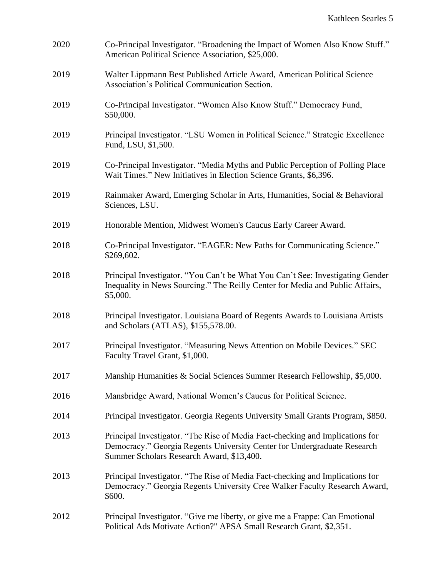| 2020 | Co-Principal Investigator. "Broadening the Impact of Women Also Know Stuff."<br>American Political Science Association, \$25,000.                                                                      |
|------|--------------------------------------------------------------------------------------------------------------------------------------------------------------------------------------------------------|
| 2019 | Walter Lippmann Best Published Article Award, American Political Science<br>Association's Political Communication Section.                                                                             |
| 2019 | Co-Principal Investigator. "Women Also Know Stuff." Democracy Fund,<br>\$50,000.                                                                                                                       |
| 2019 | Principal Investigator. "LSU Women in Political Science." Strategic Excellence<br>Fund, LSU, \$1,500.                                                                                                  |
| 2019 | Co-Principal Investigator. "Media Myths and Public Perception of Polling Place<br>Wait Times." New Initiatives in Election Science Grants, \$6,396.                                                    |
| 2019 | Rainmaker Award, Emerging Scholar in Arts, Humanities, Social & Behavioral<br>Sciences, LSU.                                                                                                           |
| 2019 | Honorable Mention, Midwest Women's Caucus Early Career Award.                                                                                                                                          |
| 2018 | Co-Principal Investigator. "EAGER: New Paths for Communicating Science."<br>\$269,602.                                                                                                                 |
| 2018 | Principal Investigator. "You Can't be What You Can't See: Investigating Gender<br>Inequality in News Sourcing." The Reilly Center for Media and Public Affairs,<br>\$5,000.                            |
| 2018 | Principal Investigator. Louisiana Board of Regents Awards to Louisiana Artists<br>and Scholars (ATLAS), \$155,578.00.                                                                                  |
| 2017 | Principal Investigator. "Measuring News Attention on Mobile Devices." SEC<br>Faculty Travel Grant, \$1,000.                                                                                            |
| 2017 | Manship Humanities & Social Sciences Summer Research Fellowship, \$5,000.                                                                                                                              |
| 2016 | Mansbridge Award, National Women's Caucus for Political Science.                                                                                                                                       |
| 2014 | Principal Investigator. Georgia Regents University Small Grants Program, \$850.                                                                                                                        |
| 2013 | Principal Investigator. "The Rise of Media Fact-checking and Implications for<br>Democracy." Georgia Regents University Center for Undergraduate Research<br>Summer Scholars Research Award, \$13,400. |
| 2013 | Principal Investigator. "The Rise of Media Fact-checking and Implications for<br>Democracy." Georgia Regents University Cree Walker Faculty Research Award,<br>\$600.                                  |
| 2012 | Principal Investigator. "Give me liberty, or give me a Frappe: Can Emotional<br>Political Ads Motivate Action?" APSA Small Research Grant, \$2,351.                                                    |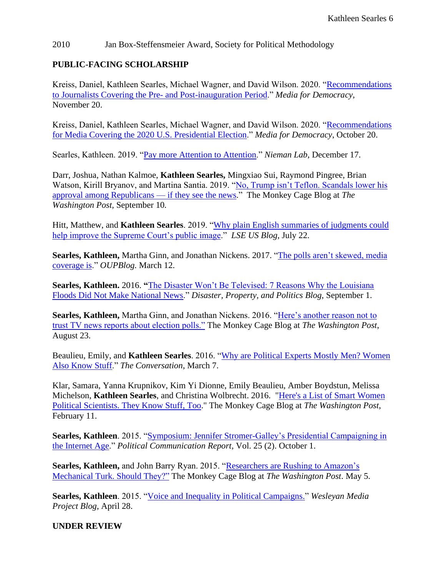#### 2010 Jan Box-Steffensmeier Award, Society for Political Methodology

### **PUBLIC-FACING SCHOLARSHIP**

Kreiss, Daniel, Kathleen Searles, Michael Wagner, and David Wilson. 2020. ["Recommendations](https://mediafordemocracy.org/)  [to Journalists Covering the Pre-](https://mediafordemocracy.org/) and Post-inauguration Period." *Media for Democracy*, November 20.

Kreiss, Daniel, Kathleen Searles, Michael Wagner, and David Wilson. 2020. ["Recommendations](https://mediafordemocracy.org/wp-content/uploads/2020/10/ECAD-Recommendations.pdf)  [for Media Covering the 2020 U.S. Presidential Election.](https://mediafordemocracy.org/wp-content/uploads/2020/10/ECAD-Recommendations.pdf)" *Media for Democracy*, October 20.

Searles, Kathleen. 2019. ["Pay more Attention to Attention.](https://www.niemanlab.org/2019/12/pay-more-attention-to-attention/)" *Nieman Lab*, December 17.

Darr, Joshua, Nathan Kalmoe, **Kathleen Searles,** Mingxiao Sui, Raymond Pingree, Brian Watson, Kirill Bryanov, and Martina Santia. 2019. ["No, Trump isn't Teflon. Scandals lower his](https://www.washingtonpost.com/politics/2019/09/10/no-trump-isnt-teflon-scandals-lower-his-approval-among-republicans-if-they-see-news/)  [approval among Republicans —](https://www.washingtonpost.com/politics/2019/09/10/no-trump-isnt-teflon-scandals-lower-his-approval-among-republicans-if-they-see-news/) if they see the news." The Monkey Cage Blog at *The Washington Post,* September 10*.* 

Hitt, Matthew, and **Kathleen Searles**. 2019. ["Why plain English summaries of judgments could](https://blogs.lse.ac.uk/usappblog/2019/07/22/why-plain-english-summaries-of-judgments-could-help-improve-the-supreme-courts-public-image/)  [help improve the Supreme Court's public image.](https://blogs.lse.ac.uk/usappblog/2019/07/22/why-plain-english-summaries-of-judgments-could-help-improve-the-supreme-courts-public-image/)" *LSE US Blog,* July 22.

**Searles, Kathleen,** Martha Ginn, and Jonathan Nickens. 2017. ["The polls aren't skewed, media](https://blog.oup.com/2017/03/political-polls-skewed-media-coverage/?utm_content=buffer48a74&utm_medium=social&utm_source=twitter.com&utm_campaign=buffer)  [coverage is.](https://blog.oup.com/2017/03/political-polls-skewed-media-coverage/?utm_content=buffer48a74&utm_medium=social&utm_source=twitter.com&utm_campaign=buffer)" *OUPBlog.* March 12.

**Searles, Kathleen.** 2016. **"**[The Disaster Won't Be Televised: 7 Reasons Why the Louisiana](https://disasterspropertypolitics.com/2016/09/01/the-disaster-wont-be-televised-7-reasons-why-the-louisiana-floods-did-not-make-national-news/)  [Floods Did Not Make National News.](https://disasterspropertypolitics.com/2016/09/01/the-disaster-wont-be-televised-7-reasons-why-the-louisiana-floods-did-not-make-national-news/)" *Disaster, Property, and Politics Blog*, September 1.

**Searles, Kathleen,** Martha Ginn, and Jonathan Nickens. 2016. ["Here's another reason not to](https://www.washingtonpost.com/news/monkey-cage/wp/2016/08/23/heres-another-reason-not-to-trust-tv-news-reports-about-election-polls/)  [trust TV news reports about election polls."](https://www.washingtonpost.com/news/monkey-cage/wp/2016/08/23/heres-another-reason-not-to-trust-tv-news-reports-about-election-polls/) The Monkey Cage Blog at *The Washington Post*, August 23.

Beaulieu, Emily, and **Kathleen Searles**. 2016. ["Why are Political Experts Mostly Men? Women](https://theconversation.com/why-are-political-experts-mostly-men-women-also-know-stuff-54979)  [Also Know Stuff.](https://theconversation.com/why-are-political-experts-mostly-men-women-also-know-stuff-54979)" *The Conversation*, March 7.

Klar, Samara, Yanna Krupnikov, Kim Yi Dionne, Emily Beaulieu, Amber Boydstun, Melissa Michelson, **Kathleen Searles**, and Christina Wolbrecht. 2016. ["Here's a List of Smart Women](https://www.washingtonpost.com/news/monkey-cage/wp/2016/02/11/heres-a-list-of-smart-women-political-scientists-they-know-stuff-too/)  [Political Scientists. They Know Stuff, Too.](https://www.washingtonpost.com/news/monkey-cage/wp/2016/02/11/heres-a-list-of-smart-women-political-scientists-they-know-stuff-too/)" The Monkey Cage Blog at *The Washington Post*, February 11.

**Searles, Kathleen**. 2015. ["Symposium: Jennifer Stromer-Galley's Presidential Campaigning in](http://www.politicalcommunication.org/newsletter.html)  [the Internet Age.](http://www.politicalcommunication.org/newsletter.html)" *Political Communication Report*, Vol. 25 (2). October 1.

**Searles, Kathleen,** and John Barry Ryan. 2015. ["Researchers are Rushing to Amazon's](http://www.washingtonpost.com/blogs/monkey-cage/wp/2015/05/04/researchers-are-rushing-to-amazons-mechanical-turk-should-they/)  [Mechanical Turk. Should They?"](http://www.washingtonpost.com/blogs/monkey-cage/wp/2015/05/04/researchers-are-rushing-to-amazons-mechanical-turk-should-they/) The Monkey Cage Blog at *The Washington Post*. May 5.

**Searles, Kathleen**. 2015. ["Voice and Inequality in Political Campaigns.](http://mediaproject.wesleyan.edu/blog/voice-and-inequality-in-political-campaigns/)" *Wesleyan Media Project Blog*, April 28.

**UNDER REVIEW**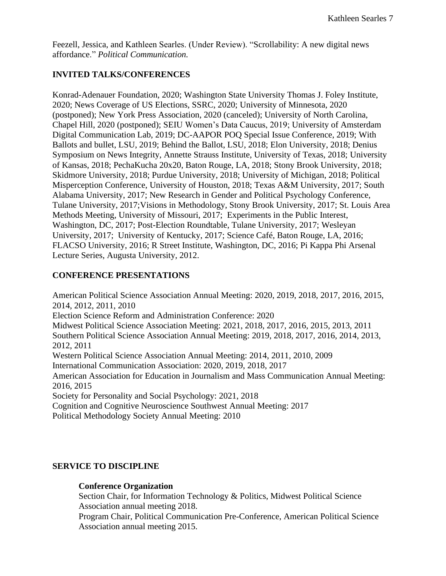Feezell, Jessica, and Kathleen Searles. (Under Review). "Scrollability: A new digital news affordance." *Political Communication.* 

# **INVITED TALKS/CONFERENCES**

Konrad-Adenauer Foundation, 2020; Washington State University Thomas J. Foley Institute, 2020; News Coverage of US Elections, SSRC, 2020; University of Minnesota, 2020 (postponed); New York Press Association, 2020 (canceled); University of North Carolina, Chapel Hill, 2020 (postponed); SEIU Women's Data Caucus, 2019; University of Amsterdam Digital Communication Lab, 2019; DC-AAPOR POQ Special Issue Conference, 2019; With Ballots and bullet, LSU, 2019; Behind the Ballot, LSU, 2018; Elon University, 2018; Denius Symposium on News Integrity, Annette Strauss Institute, University of Texas, 2018; University of Kansas, 2018; PechaKucha 20x20, Baton Rouge, LA, 2018; Stony Brook University, 2018; Skidmore University, 2018; Purdue University, 2018; University of Michigan, 2018; Political Misperception Conference, University of Houston, 2018; Texas A&M University, 2017; South Alabama University, 2017; New Research in Gender and Political Psychology Conference, Tulane University, 2017;Visions in Methodology, Stony Brook University, 2017; St. Louis Area Methods Meeting, University of Missouri, 2017; Experiments in the Public Interest, Washington, DC, 2017; Post-Election Roundtable, Tulane University, 2017; Wesleyan University, 2017; University of Kentucky, 2017; Science Café, Baton Rouge, LA, 2016; FLACSO University, 2016; R Street Institute, Washington, DC, 2016; Pi Kappa Phi Arsenal Lecture Series, Augusta University, 2012.

### **CONFERENCE PRESENTATIONS**

American Political Science Association Annual Meeting: 2020, 2019, 2018, 2017, 2016, 2015, 2014, 2012, 2011, 2010 Election Science Reform and Administration Conference: 2020 Midwest Political Science Association Meeting: 2021, 2018, 2017, 2016, 2015, 2013, 2011 Southern Political Science Association Annual Meeting: 2019, 2018, 2017, 2016, 2014, 2013, 2012, 2011 Western Political Science Association Annual Meeting: 2014, 2011, 2010, 2009 International Communication Association: 2020, 2019, 2018, 2017 American Association for Education in Journalism and Mass Communication Annual Meeting: 2016, 2015 Society for Personality and Social Psychology: 2021, 2018 Cognition and Cognitive Neuroscience Southwest Annual Meeting: 2017 Political Methodology Society Annual Meeting: 2010

# **SERVICE TO DISCIPLINE**

### **Conference Organization**

Section Chair, for Information Technology & Politics, Midwest Political Science Association annual meeting 2018.

Program Chair, Political Communication Pre-Conference, American Political Science Association annual meeting 2015.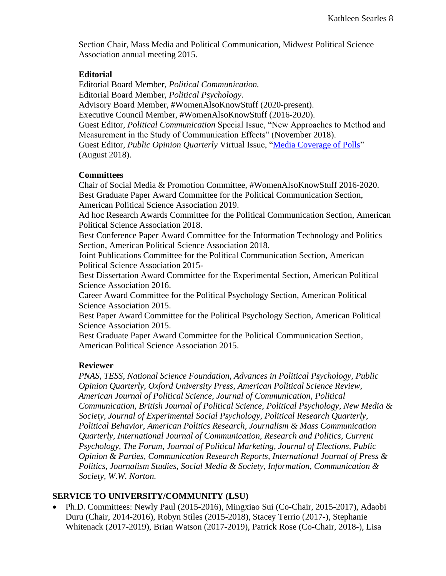Section Chair, Mass Media and Political Communication, Midwest Political Science Association annual meeting 2015.

#### **Editorial**

Editorial Board Member, *Political Communication.* Editorial Board Member, *Political Psychology.*  Advisory Board Member, #WomenAlsoKnowStuff (2020-present). Executive Council Member, #WomenAlsoKnowStuff (2016-2020). Guest Editor, *Political Communication* Special Issue, "New Approaches to Method and Measurement in the Study of Communication Effects" (November 2018). Guest Editor, *Public Opinion Quarterly* Virtual Issue, ["Media Coverage of Polls"](https://academic.oup.com/poq/pages/media_coverage_polls) (August 2018).

#### **Committees**

Chair of Social Media & Promotion Committee, #WomenAlsoKnowStuff 2016-2020. Best Graduate Paper Award Committee for the Political Communication Section, American Political Science Association 2019.

Ad hoc Research Awards Committee for the Political Communication Section, American Political Science Association 2018.

Best Conference Paper Award Committee for the Information Technology and Politics Section, American Political Science Association 2018.

Joint Publications Committee for the Political Communication Section, American Political Science Association 2015-

Best Dissertation Award Committee for the Experimental Section, American Political Science Association 2016.

Career Award Committee for the Political Psychology Section, American Political Science Association 2015.

Best Paper Award Committee for the Political Psychology Section, American Political Science Association 2015.

Best Graduate Paper Award Committee for the Political Communication Section, American Political Science Association 2015.

### **Reviewer**

*PNAS, TESS, National Science Foundation, Advances in Political Psychology, Public Opinion Quarterly, Oxford University Press*, *American Political Science Review, American Journal of Political Science, Journal of Communication, Political Communication, British Journal of Political Science, Political Psychology*, *New Media & Society, Journal of Experimental Social Psychology, Political Research Quarterly*, *Political Behavior*, *American Politics Research, Journalism & Mass Communication Quarterly, International Journal of Communication, Research and Politics, Current Psychology, The Forum, Journal of Political Marketing, Journal of Elections, Public Opinion & Parties, Communication Research Reports, International Journal of Press & Politics, Journalism Studies, Social Media & Society, Information, Communication & Society, W.W. Norton.*

# **SERVICE TO UNIVERSITY/COMMUNITY (LSU)**

• Ph.D. Committees: Newly Paul (2015-2016), Mingxiao Sui (Co-Chair, 2015-2017), Adaobi Duru (Chair, 2014-2016), Robyn Stiles (2015-2018), Stacey Terrio (2017-), Stephanie Whitenack (2017-2019), Brian Watson (2017-2019), Patrick Rose (Co-Chair, 2018-), Lisa